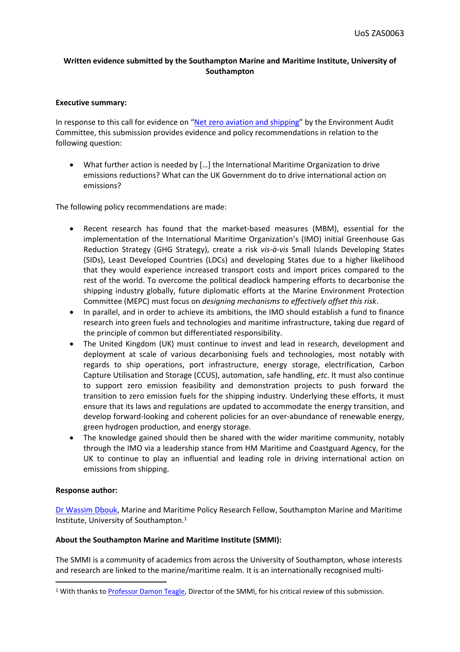# **Written evidence submitted by the Southampton Marine and Maritime Institute, University of Southampton**

### **Executive summary:**

In response to this call for evidence on ["Net](https://committees.parliament.uk/work/1408/) [zero](https://committees.parliament.uk/work/1408/) [aviation](https://committees.parliament.uk/work/1408/) [and](https://committees.parliament.uk/work/1408/) [shipping](https://committees.parliament.uk/work/1408/)" by the Environment Audit Committee, this submission provides evidence and policy recommendations in relation to the following question:

 What further action is needed by […] the International Maritime Organization to drive emissions reductions? What can the UK Government do to drive international action on emissions?

The following policy recommendations are made:

- Recent research has found that the market-based measures (MBM), essential for the implementation of the International Maritime Organization's (IMO) initial Greenhouse Gas Reduction Strategy (GHG Strategy), create a risk *vis-à-vis* Small Islands Developing States (SIDs), Least Developed Countries (LDCs) and developing States due to a higher likelihood that they would experience increased transport costs and import prices compared to the rest of the world. To overcome the political deadlock hampering efforts to decarbonise the shipping industry globally, future diplomatic efforts at the Marine Environment Protection Committee (MEPC) must focus on *designing mechanisms to effectively offset this risk*.
- In parallel, and in order to achieve its ambitions, the IMO should establish a fund to finance research into green fuels and technologies and maritime infrastructure, taking due regard of the principle of common but differentiated responsibility.
- The United Kingdom (UK) must continue to invest and lead in research, development and deployment at scale of various decarbonising fuels and technologies, most notably with regards to ship operations, port infrastructure, energy storage, electrification, Carbon Capture Utilisation and Storage (CCUS), automation, safe handling, *etc*. It must also continue to support zero emission feasibility and demonstration projects to push forward the transition to zero emission fuels for the shipping industry. Underlying these efforts, it must ensure that its laws and regulations are updated to accommodate the energy transition, and develop forward-looking and coherent policies for an over-abundance of renewable energy, green hydrogen production, and energy storage.
- The knowledge gained should then be shared with the wider maritime community, notably through the IMO via a leadership stance from HM Maritime and Coastguard Agency, for the UK to continue to play an influential and leading role in driving international action on emissions from shipping.

#### **Response author:**

[Dr](https://www.southampton.ac.uk/smmi/about/staff/wd1v20.page) [Wassim](https://www.southampton.ac.uk/smmi/about/staff/wd1v20.page) [Dbouk,](https://www.southampton.ac.uk/smmi/about/staff/wd1v20.page) Marine and Maritime Policy Research Fellow, Southampton Marine and Maritime Institute, University of Southampton.<sup>1</sup>

### **About the Southampton Marine and Maritime Institute (SMMI):**

The SMMI is a community of academics from across the University of Southampton, whose interests and research are linked to the marine/maritime realm. It is an internationally recognised multi-

<sup>&</sup>lt;sup>1</sup> With thanks to [Professor](https://www.southampton.ac.uk/oes/about/staff/daht.page) [Damon](https://www.southampton.ac.uk/oes/about/staff/daht.page) [Teagle,](https://www.southampton.ac.uk/oes/about/staff/daht.page) Director of the SMMI, for his critical review of this submission.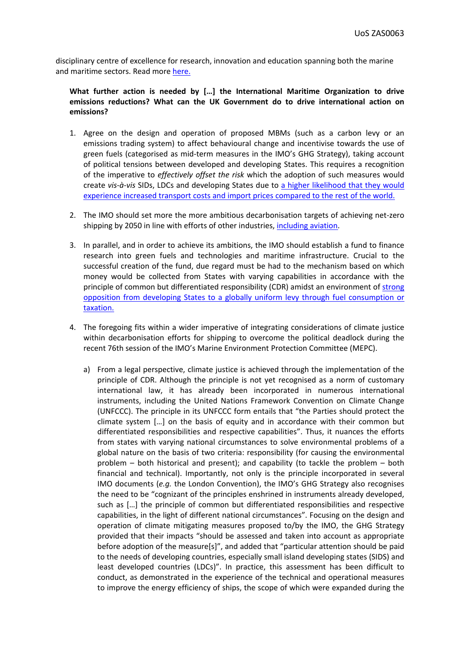disciplinary centre of excellence for research, innovation and education spanning both the marine and maritime sectors. Read more [here.](https://www.southampton.ac.uk/smmi/index.page)

## **What further action is needed by […] the International Maritime Organization to drive emissions reductions? What can the UK Government do to drive international action on emissions?**

- 1. Agree on the design and operation of proposed MBMs (such as a carbon levy or an emissions trading system) to affect behavioural change and incentivise towards the use of green fuels (categorised as mid-term measures in the IMO's GHG Strategy), taking account of political tensions between developed and developing States. This requires a recognition of the imperative to *effectively offset the risk* which the adoption of such measures would create *vis-à-vis* SIDs, LDCs and developing States due to [a](https://reader.elsevier.com/reader/sd/pii/S0308597X21002645?token=1D6FE81B35023C7A1973E72C5DCA48110B98D22D730A8D9ADC2994B2BB5375558B140458C7C6C2E14809031417C2DED5&originRegion=eu-west-1&originCreation=20210930110338) [higher](https://reader.elsevier.com/reader/sd/pii/S0308597X21002645?token=1D6FE81B35023C7A1973E72C5DCA48110B98D22D730A8D9ADC2994B2BB5375558B140458C7C6C2E14809031417C2DED5&originRegion=eu-west-1&originCreation=20210930110338) [likelihood](https://reader.elsevier.com/reader/sd/pii/S0308597X21002645?token=1D6FE81B35023C7A1973E72C5DCA48110B98D22D730A8D9ADC2994B2BB5375558B140458C7C6C2E14809031417C2DED5&originRegion=eu-west-1&originCreation=20210930110338) [that](https://reader.elsevier.com/reader/sd/pii/S0308597X21002645?token=1D6FE81B35023C7A1973E72C5DCA48110B98D22D730A8D9ADC2994B2BB5375558B140458C7C6C2E14809031417C2DED5&originRegion=eu-west-1&originCreation=20210930110338) [they](https://reader.elsevier.com/reader/sd/pii/S0308597X21002645?token=1D6FE81B35023C7A1973E72C5DCA48110B98D22D730A8D9ADC2994B2BB5375558B140458C7C6C2E14809031417C2DED5&originRegion=eu-west-1&originCreation=20210930110338) [would](https://reader.elsevier.com/reader/sd/pii/S0308597X21002645?token=1D6FE81B35023C7A1973E72C5DCA48110B98D22D730A8D9ADC2994B2BB5375558B140458C7C6C2E14809031417C2DED5&originRegion=eu-west-1&originCreation=20210930110338) [experience](https://reader.elsevier.com/reader/sd/pii/S0308597X21002645?token=1D6FE81B35023C7A1973E72C5DCA48110B98D22D730A8D9ADC2994B2BB5375558B140458C7C6C2E14809031417C2DED5&originRegion=eu-west-1&originCreation=20210930110338) [increased](https://reader.elsevier.com/reader/sd/pii/S0308597X21002645?token=1D6FE81B35023C7A1973E72C5DCA48110B98D22D730A8D9ADC2994B2BB5375558B140458C7C6C2E14809031417C2DED5&originRegion=eu-west-1&originCreation=20210930110338) [transport](https://reader.elsevier.com/reader/sd/pii/S0308597X21002645?token=1D6FE81B35023C7A1973E72C5DCA48110B98D22D730A8D9ADC2994B2BB5375558B140458C7C6C2E14809031417C2DED5&originRegion=eu-west-1&originCreation=20210930110338) [costs](https://reader.elsevier.com/reader/sd/pii/S0308597X21002645?token=1D6FE81B35023C7A1973E72C5DCA48110B98D22D730A8D9ADC2994B2BB5375558B140458C7C6C2E14809031417C2DED5&originRegion=eu-west-1&originCreation=20210930110338) [and](https://reader.elsevier.com/reader/sd/pii/S0308597X21002645?token=1D6FE81B35023C7A1973E72C5DCA48110B98D22D730A8D9ADC2994B2BB5375558B140458C7C6C2E14809031417C2DED5&originRegion=eu-west-1&originCreation=20210930110338) [import](https://reader.elsevier.com/reader/sd/pii/S0308597X21002645?token=1D6FE81B35023C7A1973E72C5DCA48110B98D22D730A8D9ADC2994B2BB5375558B140458C7C6C2E14809031417C2DED5&originRegion=eu-west-1&originCreation=20210930110338) [prices](https://reader.elsevier.com/reader/sd/pii/S0308597X21002645?token=1D6FE81B35023C7A1973E72C5DCA48110B98D22D730A8D9ADC2994B2BB5375558B140458C7C6C2E14809031417C2DED5&originRegion=eu-west-1&originCreation=20210930110338) [compared](https://reader.elsevier.com/reader/sd/pii/S0308597X21002645?token=1D6FE81B35023C7A1973E72C5DCA48110B98D22D730A8D9ADC2994B2BB5375558B140458C7C6C2E14809031417C2DED5&originRegion=eu-west-1&originCreation=20210930110338) [to](https://reader.elsevier.com/reader/sd/pii/S0308597X21002645?token=1D6FE81B35023C7A1973E72C5DCA48110B98D22D730A8D9ADC2994B2BB5375558B140458C7C6C2E14809031417C2DED5&originRegion=eu-west-1&originCreation=20210930110338) [the](https://reader.elsevier.com/reader/sd/pii/S0308597X21002645?token=1D6FE81B35023C7A1973E72C5DCA48110B98D22D730A8D9ADC2994B2BB5375558B140458C7C6C2E14809031417C2DED5&originRegion=eu-west-1&originCreation=20210930110338) [rest](https://reader.elsevier.com/reader/sd/pii/S0308597X21002645?token=1D6FE81B35023C7A1973E72C5DCA48110B98D22D730A8D9ADC2994B2BB5375558B140458C7C6C2E14809031417C2DED5&originRegion=eu-west-1&originCreation=20210930110338) [of](https://reader.elsevier.com/reader/sd/pii/S0308597X21002645?token=1D6FE81B35023C7A1973E72C5DCA48110B98D22D730A8D9ADC2994B2BB5375558B140458C7C6C2E14809031417C2DED5&originRegion=eu-west-1&originCreation=20210930110338) [the](https://reader.elsevier.com/reader/sd/pii/S0308597X21002645?token=1D6FE81B35023C7A1973E72C5DCA48110B98D22D730A8D9ADC2994B2BB5375558B140458C7C6C2E14809031417C2DED5&originRegion=eu-west-1&originCreation=20210930110338) [world.](https://reader.elsevier.com/reader/sd/pii/S0308597X21002645?token=1D6FE81B35023C7A1973E72C5DCA48110B98D22D730A8D9ADC2994B2BB5375558B140458C7C6C2E14809031417C2DED5&originRegion=eu-west-1&originCreation=20210930110338)
- 2. The IMO should set more the more ambitious decarbonisation targets of achieving net-zero shipping by 2050 in line with efforts of other industries, [including](https://www.icao.int/environmental-protection/SAC/Lists/Aviation%20Net%20Zero/ProjectViewNZ.aspx) [aviation.](https://www.icao.int/environmental-protection/SAC/Lists/Aviation%20Net%20Zero/ProjectViewNZ.aspx)
- 3. In parallel, and in order to achieve its ambitions, the IMO should establish a fund to finance research into green fuels and technologies and maritime infrastructure. Crucial to the successful creation of the fund, due regard must be had to the mechanism based on which money would be collected from States with varying capabilities in accordance with the principle of common but differentiated responsibility (CDR) amidst an environment of [strong](https://lloydslist.maritimeintelligence.informa.com/LL1136468/Shipping-green-fuel-levy-faces-opposition-from-developing-nations) [opposition](https://lloydslist.maritimeintelligence.informa.com/LL1136468/Shipping-green-fuel-levy-faces-opposition-from-developing-nations) [from](https://lloydslist.maritimeintelligence.informa.com/LL1136468/Shipping-green-fuel-levy-faces-opposition-from-developing-nations) [developing](https://lloydslist.maritimeintelligence.informa.com/LL1136468/Shipping-green-fuel-levy-faces-opposition-from-developing-nations) [States](https://lloydslist.maritimeintelligence.informa.com/LL1136468/Shipping-green-fuel-levy-faces-opposition-from-developing-nations) [to](https://lloydslist.maritimeintelligence.informa.com/LL1136468/Shipping-green-fuel-levy-faces-opposition-from-developing-nations) [a](https://lloydslist.maritimeintelligence.informa.com/LL1136468/Shipping-green-fuel-levy-faces-opposition-from-developing-nations) [globally](https://lloydslist.maritimeintelligence.informa.com/LL1136468/Shipping-green-fuel-levy-faces-opposition-from-developing-nations) [uniform](https://lloydslist.maritimeintelligence.informa.com/LL1136468/Shipping-green-fuel-levy-faces-opposition-from-developing-nations) [levy](https://lloydslist.maritimeintelligence.informa.com/LL1136468/Shipping-green-fuel-levy-faces-opposition-from-developing-nations) [through](https://lloydslist.maritimeintelligence.informa.com/LL1136468/Shipping-green-fuel-levy-faces-opposition-from-developing-nations) [fuel](https://lloydslist.maritimeintelligence.informa.com/LL1136468/Shipping-green-fuel-levy-faces-opposition-from-developing-nations) [consumption](https://lloydslist.maritimeintelligence.informa.com/LL1136468/Shipping-green-fuel-levy-faces-opposition-from-developing-nations) [or](https://lloydslist.maritimeintelligence.informa.com/LL1136468/Shipping-green-fuel-levy-faces-opposition-from-developing-nations) [taxation.](https://lloydslist.maritimeintelligence.informa.com/LL1136468/Shipping-green-fuel-levy-faces-opposition-from-developing-nations)
- 4. The foregoing fits within a wider imperative of integrating considerations of climate justice within decarbonisation efforts for shipping to overcome the political deadlock during the recent 76th session of the IMO's Marine Environment Protection Committee (MEPC).
	- a) From a legal perspective, climate justice is achieved through the implementation of the principle of CDR. Although the principle is not yet recognised as a norm of customary international law, it has already been incorporated in numerous international instruments, including the United Nations Framework Convention on Climate Change (UNFCCC). The principle in its UNFCCC form entails that "the Parties should protect the climate system […] on the basis of equity and in accordance with their common but differentiated responsibilities and respective capabilities". Thus, it nuances the efforts from states with varying national circumstances to solve environmental problems of a global nature on the basis of two criteria: responsibility (for causing the environmental problem – both historical and present); and capability (to tackle the problem – both financial and technical). Importantly, not only is the principle incorporated in several IMO documents (*e.g.* the London Convention), the IMO's GHG Strategy also recognises the need to be "cognizant of the principles enshrined in instruments already developed, such as […] the principle of common but differentiated responsibilities and respective capabilities, in the light of different national circumstances". Focusing on the design and operation of climate mitigating measures proposed to/by the IMO, the GHG Strategy provided that their impacts "should be assessed and taken into account as appropriate before adoption of the measure[s]", and added that "particular attention should be paid to the needs of developing countries, especially small island developing states (SIDS) and least developed countries (LDCs)". In practice, this assessment has been difficult to conduct, as demonstrated in the experience of the technical and operational measures to improve the energy efficiency of ships, the scope of which were expanded during the